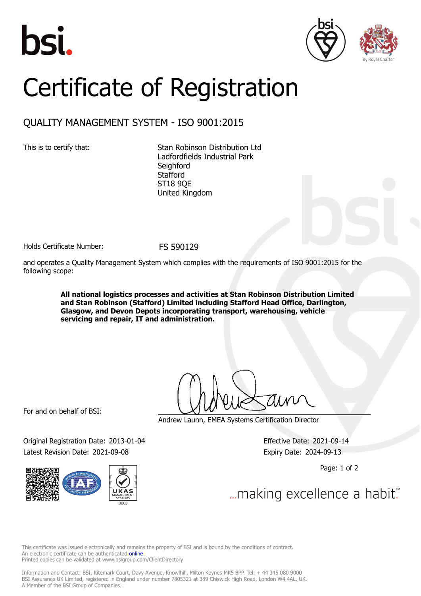





## Certificate of Registration

## QUALITY MANAGEMENT SYSTEM - ISO 9001:2015

This is to certify that: Stan Robinson Distribution Ltd Ladfordfields Industrial Park **Seighford Stafford** ST18 9QE United Kingdom

Holds Certificate Number: FS 590129

and operates a Quality Management System which complies with the requirements of ISO 9001:2015 for the following scope:

> **All national logistics processes and activities at Stan Robinson Distribution Limited and Stan Robinson (Stafford) Limited including Stafford Head Office, Darlington, Glasgow, and Devon Depots incorporating transport, warehousing, vehicle servicing and repair, IT and administration.**

For and on behalf of BSI:

Original Registration Date: 2013-01-04 Effective Date: 2021-09-14 Latest Revision Date: 2021-09-08 Expiry Date: 2024-09-13



Andrew Launn, EMEA Systems Certification Director

Page: 1 of 2

... making excellence a habit.

This certificate was issued electronically and remains the property of BSI and is bound by the conditions of contract. An electronic certificate can be authenticated **[online](https://pgplus.bsigroup.com/CertificateValidation/CertificateValidator.aspx?CertificateNumber=FS+590129&ReIssueDate=08%2f09%2f2021&Template=uk)**. Printed copies can be validated at www.bsigroup.com/ClientDirectory

Information and Contact: BSI, Kitemark Court, Davy Avenue, Knowlhill, Milton Keynes MK5 8PP. Tel: + 44 345 080 9000 BSI Assurance UK Limited, registered in England under number 7805321 at 389 Chiswick High Road, London W4 4AL, UK. A Member of the BSI Group of Companies.